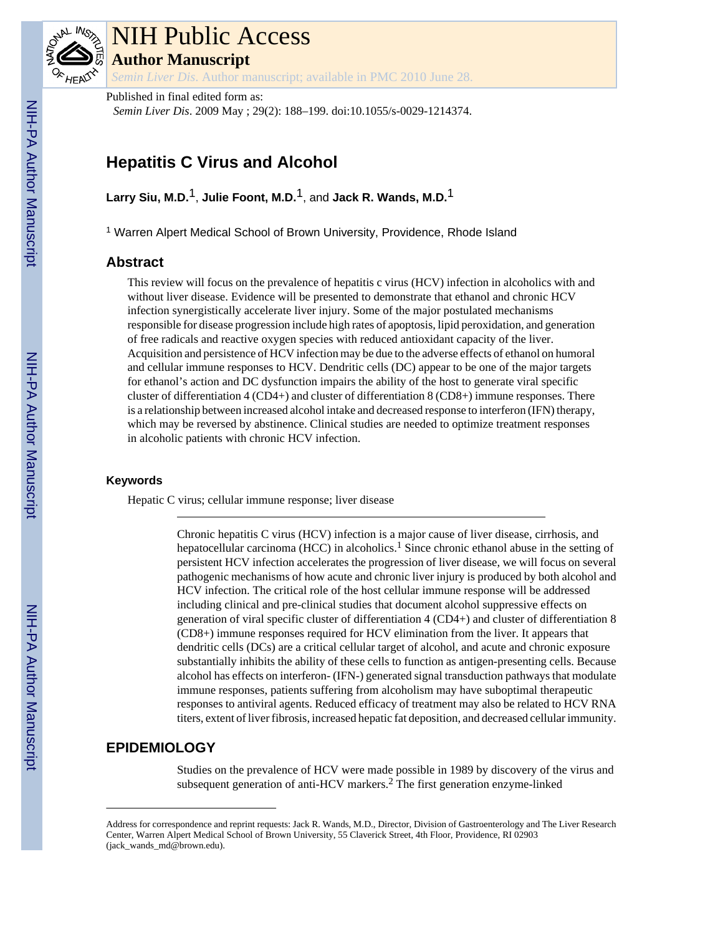

# NIH Public Access

**Author Manuscript**

*Semin Liver Dis*. Author manuscript; available in PMC 2010 June 28.

Published in final edited form as: *Semin Liver Dis*. 2009 May ; 29(2): 188–199. doi:10.1055/s-0029-1214374.

# **Hepatitis C Virus and Alcohol**

**Larry Siu, M.D.**1, **Julie Foont, M.D.**1, and **Jack R. Wands, M.D.**1

<sup>1</sup> Warren Alpert Medical School of Brown University, Providence, Rhode Island

# **Abstract**

This review will focus on the prevalence of hepatitis c virus (HCV) infection in alcoholics with and without liver disease. Evidence will be presented to demonstrate that ethanol and chronic HCV infection synergistically accelerate liver injury. Some of the major postulated mechanisms responsible for disease progression include high rates of apoptosis, lipid peroxidation, and generation of free radicals and reactive oxygen species with reduced antioxidant capacity of the liver. Acquisition and persistence of HCV infection may be due to the adverse effects of ethanol on humoral and cellular immune responses to HCV. Dendritic cells (DC) appear to be one of the major targets for ethanol's action and DC dysfunction impairs the ability of the host to generate viral specific cluster of differentiation 4 (CD4+) and cluster of differentiation 8 (CD8+) immune responses. There is a relationship between increased alcohol intake and decreased response to interferon (IFN) therapy, which may be reversed by abstinence. Clinical studies are needed to optimize treatment responses in alcoholic patients with chronic HCV infection.

#### **Keywords**

Hepatic C virus; cellular immune response; liver disease

Chronic hepatitis C virus (HCV) infection is a major cause of liver disease, cirrhosis, and hepatocellular carcinoma (HCC) in alcoholics.<sup>1</sup> Since chronic ethanol abuse in the setting of persistent HCV infection accelerates the progression of liver disease, we will focus on several pathogenic mechanisms of how acute and chronic liver injury is produced by both alcohol and HCV infection. The critical role of the host cellular immune response will be addressed including clinical and pre-clinical studies that document alcohol suppressive effects on generation of viral specific cluster of differentiation 4 (CD4+) and cluster of differentiation 8 (CD8+) immune responses required for HCV elimination from the liver. It appears that dendritic cells (DCs) are a critical cellular target of alcohol, and acute and chronic exposure substantially inhibits the ability of these cells to function as antigen-presenting cells. Because alcohol has effects on interferon- (IFN-) generated signal transduction pathways that modulate immune responses, patients suffering from alcoholism may have suboptimal therapeutic responses to antiviral agents. Reduced efficacy of treatment may also be related to HCV RNA titers, extent of liver fibrosis, increased hepatic fat deposition, and decreased cellular immunity.

# **EPIDEMIOLOGY**

Studies on the prevalence of HCV were made possible in 1989 by discovery of the virus and subsequent generation of anti-HCV markers.<sup>2</sup> The first generation enzyme-linked

Address for correspondence and reprint requests: Jack R. Wands, M.D., Director, Division of Gastroenterology and The Liver Research Center, Warren Alpert Medical School of Brown University, 55 Claverick Street, 4th Floor, Providence, RI 02903 (jack\_wands\_md@brown.edu).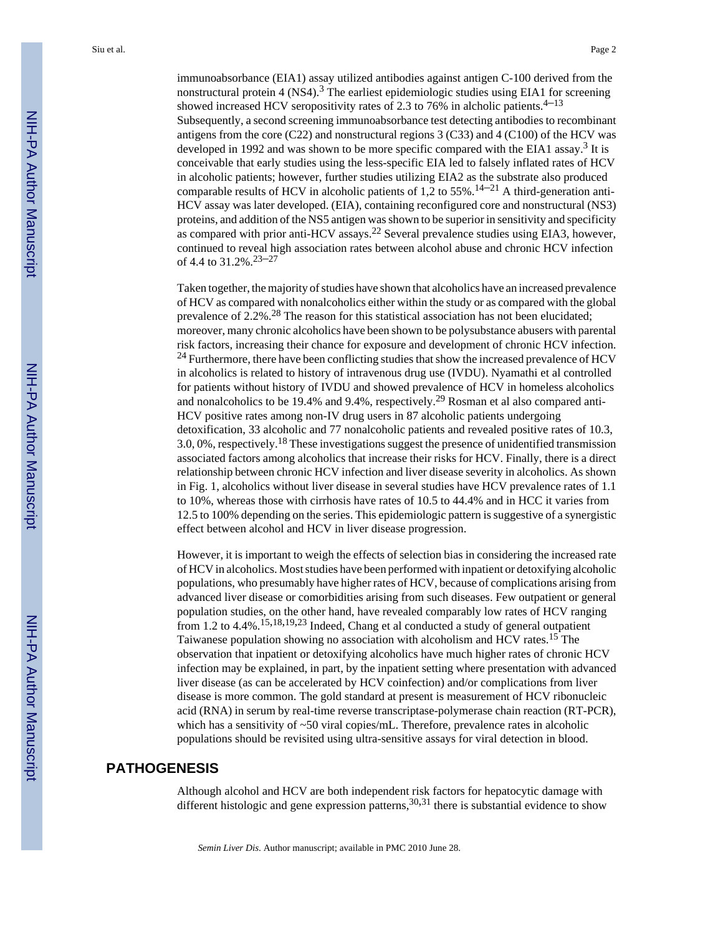immunoabsorbance (EIA1) assay utilized antibodies against antigen C-100 derived from the nonstructural protein 4 (NS4).<sup>3</sup> The earliest epidemiologic studies using EIA1 for screening showed increased HCV seropositivity rates of 2.3 to 76% in alcholic patients.<sup>4–13</sup> Subsequently, a second screening immunoabsorbance test detecting antibodies to recombinant antigens from the core (C22) and nonstructural regions  $3$  (C33) and  $4$  (C100) of the HCV was developed in 1992 and was shown to be more specific compared with the EIA1 assay.<sup>3</sup> It is conceivable that early studies using the less-specific EIA led to falsely inflated rates of HCV in alcoholic patients; however, further studies utilizing EIA2 as the substrate also produced comparable results of HCV in alcoholic patients of 1,2 to 55%.<sup>14–21</sup> A third-generation anti-HCV assay was later developed. (EIA), containing reconfigured core and nonstructural (NS3) proteins, and addition of the NS5 antigen was shown to be superior in sensitivity and specificity as compared with prior anti-HCV assays.<sup>22</sup> Several prevalence studies using EIA3, however, continued to reveal high association rates between alcohol abuse and chronic HCV infection of 4.4 to  $31.2\%$ <sup>23-27</sup>

Taken together, the majority of studies have shown that alcoholics have an increased prevalence of HCV as compared with nonalcoholics either within the study or as compared with the global prevalence of 2.2%.28 The reason for this statistical association has not been elucidated; moreover, many chronic alcoholics have been shown to be polysubstance abusers with parental risk factors, increasing their chance for exposure and development of chronic HCV infection. <sup>24</sup> Furthermore, there have been conflicting studies that show the increased prevalence of HCV in alcoholics is related to history of intravenous drug use (IVDU). Nyamathi et al controlled for patients without history of IVDU and showed prevalence of HCV in homeless alcoholics and nonalcoholics to be 19.4% and 9.4%, respectively.<sup>29</sup> Rosman et al also compared anti-HCV positive rates among non-IV drug users in 87 alcoholic patients undergoing detoxification, 33 alcoholic and 77 nonalcoholic patients and revealed positive rates of 10.3, 3.0, 0%, respectively.18 These investigations suggest the presence of unidentified transmission associated factors among alcoholics that increase their risks for HCV. Finally, there is a direct relationship between chronic HCV infection and liver disease severity in alcoholics. As shown in Fig. 1, alcoholics without liver disease in several studies have HCV prevalence rates of 1.1 to 10%, whereas those with cirrhosis have rates of 10.5 to 44.4% and in HCC it varies from 12.5 to 100% depending on the series. This epidemiologic pattern is suggestive of a synergistic effect between alcohol and HCV in liver disease progression.

However, it is important to weigh the effects of selection bias in considering the increased rate of HCV in alcoholics. Most studies have been performed with inpatient or detoxifying alcoholic populations, who presumably have higher rates of HCV, because of complications arising from advanced liver disease or comorbidities arising from such diseases. Few outpatient or general population studies, on the other hand, have revealed comparably low rates of HCV ranging from 1.2 to  $4.4\%$ .<sup>15,18,19,23</sup> Indeed, Chang et al conducted a study of general outpatient Taiwanese population showing no association with alcoholism and HCV rates.15 The observation that inpatient or detoxifying alcoholics have much higher rates of chronic HCV infection may be explained, in part, by the inpatient setting where presentation with advanced liver disease (as can be accelerated by HCV coinfection) and/or complications from liver disease is more common. The gold standard at present is measurement of HCV ribonucleic acid (RNA) in serum by real-time reverse transcriptase-polymerase chain reaction (RT-PCR), which has a sensitivity of  $\sim$ 50 viral copies/mL. Therefore, prevalence rates in alcoholic populations should be revisited using ultra-sensitive assays for viral detection in blood.

# **PATHOGENESIS**

Although alcohol and HCV are both independent risk factors for hepatocytic damage with different histologic and gene expression patterns,  $30,31$  there is substantial evidence to show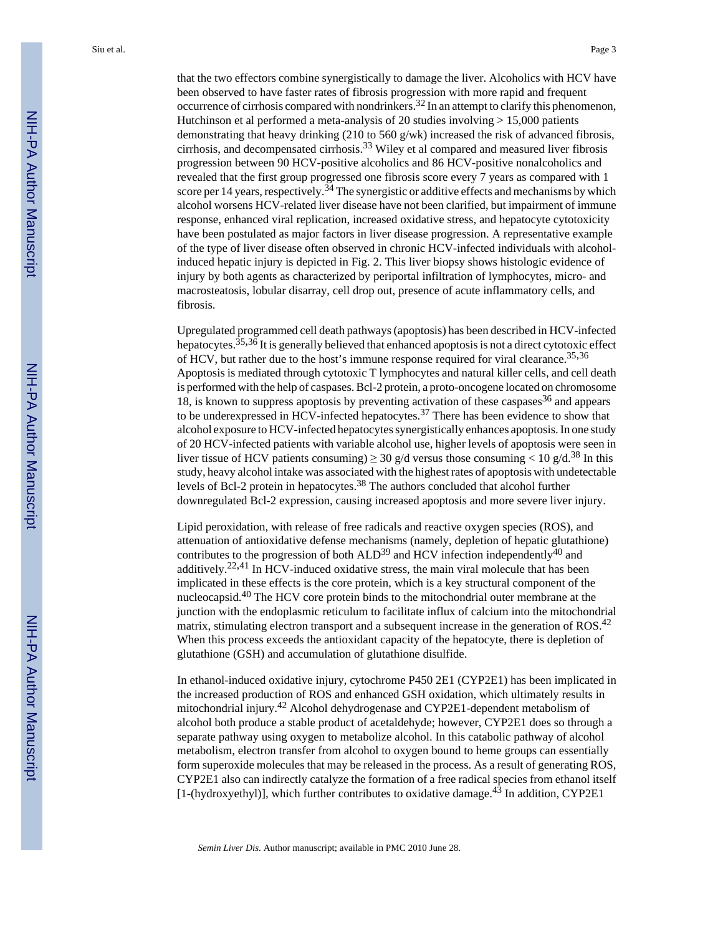that the two effectors combine synergistically to damage the liver. Alcoholics with HCV have been observed to have faster rates of fibrosis progression with more rapid and frequent occurrence of cirrhosis compared with nondrinkers.<sup>32</sup> In an attempt to clarify this phenomenon, Hutchinson et al performed a meta-analysis of 20 studies involving > 15,000 patients demonstrating that heavy drinking (210 to 560 g/wk) increased the risk of advanced fibrosis, cirrhosis, and decompensated cirrhosis.33 Wiley et al compared and measured liver fibrosis progression between 90 HCV-positive alcoholics and 86 HCV-positive nonalcoholics and revealed that the first group progressed one fibrosis score every 7 years as compared with 1 score per 14 years, respectively.<sup>34</sup> The synergistic or additive effects and mechanisms by which alcohol worsens HCV-related liver disease have not been clarified, but impairment of immune response, enhanced viral replication, increased oxidative stress, and hepatocyte cytotoxicity have been postulated as major factors in liver disease progression. A representative example of the type of liver disease often observed in chronic HCV-infected individuals with alcoholinduced hepatic injury is depicted in Fig. 2. This liver biopsy shows histologic evidence of injury by both agents as characterized by periportal infiltration of lymphocytes, micro- and macrosteatosis, lobular disarray, cell drop out, presence of acute inflammatory cells, and fibrosis.

Upregulated programmed cell death pathways (apoptosis) has been described in HCV-infected hepatocytes.<sup>35,36</sup> It is generally believed that enhanced apoptosis is not a direct cytotoxic effect of HCV, but rather due to the host's immune response required for viral clearance.<sup>35,36</sup> Apoptosis is mediated through cytotoxic T lymphocytes and natural killer cells, and cell death is performed with the help of caspases. Bcl-2 protein, a proto-oncogene located on chromosome 18, is known to suppress apoptosis by preventing activation of these caspases $36$  and appears to be underexpressed in HCV-infected hepatocytes.<sup>37</sup> There has been evidence to show that alcohol exposure to HCV-infected hepatocytes synergistically enhances apoptosis. In one study of 20 HCV-infected patients with variable alcohol use, higher levels of apoptosis were seen in liver tissue of HCV patients consuming)  $\geq 30$  g/d versus those consuming  $< 10$  g/d.<sup>38</sup> In this study, heavy alcohol intake was associated with the highest rates of apoptosis with undetectable levels of Bcl-2 protein in hepatocytes.<sup>38</sup> The authors concluded that alcohol further downregulated Bcl-2 expression, causing increased apoptosis and more severe liver injury.

Lipid peroxidation, with release of free radicals and reactive oxygen species (ROS), and attenuation of antioxidative defense mechanisms (namely, depletion of hepatic glutathione) contributes to the progression of both  $ALD<sup>39</sup>$  and HCV infection independently<sup>40</sup> and additively.<sup>22,41</sup> In HCV-induced oxidative stress, the main viral molecule that has been implicated in these effects is the core protein, which is a key structural component of the nucleocapsid.40 The HCV core protein binds to the mitochondrial outer membrane at the junction with the endoplasmic reticulum to facilitate influx of calcium into the mitochondrial matrix, stimulating electron transport and a subsequent increase in the generation of ROS.<sup>42</sup> When this process exceeds the antioxidant capacity of the hepatocyte, there is depletion of glutathione (GSH) and accumulation of glutathione disulfide.

In ethanol-induced oxidative injury, cytochrome P450 2E1 (CYP2E1) has been implicated in the increased production of ROS and enhanced GSH oxidation, which ultimately results in mitochondrial injury.42 Alcohol dehydrogenase and CYP2E1-dependent metabolism of alcohol both produce a stable product of acetaldehyde; however, CYP2E1 does so through a separate pathway using oxygen to metabolize alcohol. In this catabolic pathway of alcohol metabolism, electron transfer from alcohol to oxygen bound to heme groups can essentially form superoxide molecules that may be released in the process. As a result of generating ROS, CYP2E1 also can indirectly catalyze the formation of a free radical species from ethanol itself [1-(hydroxyethyl)], which further contributes to oxidative damage.<sup>43</sup> In addition, CYP2E1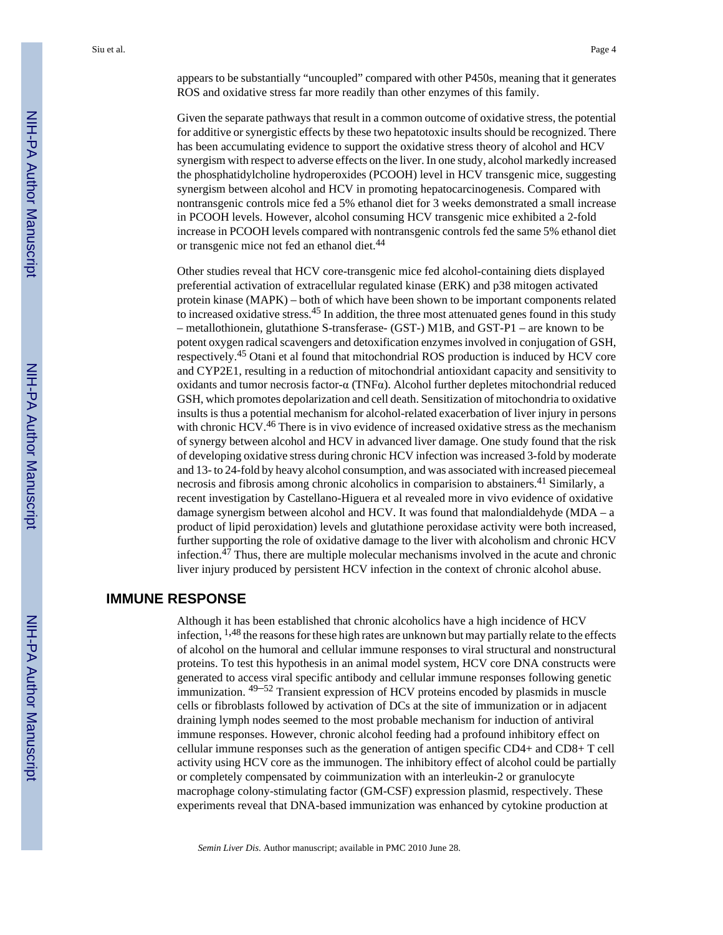appears to be substantially "uncoupled" compared with other P450s, meaning that it generates ROS and oxidative stress far more readily than other enzymes of this family.

Given the separate pathways that result in a common outcome of oxidative stress, the potential for additive or synergistic effects by these two hepatotoxic insults should be recognized. There has been accumulating evidence to support the oxidative stress theory of alcohol and HCV synergism with respect to adverse effects on the liver. In one study, alcohol markedly increased the phosphatidylcholine hydroperoxides (PCOOH) level in HCV transgenic mice, suggesting synergism between alcohol and HCV in promoting hepatocarcinogenesis. Compared with nontransgenic controls mice fed a 5% ethanol diet for 3 weeks demonstrated a small increase in PCOOH levels. However, alcohol consuming HCV transgenic mice exhibited a 2-fold increase in PCOOH levels compared with nontransgenic controls fed the same 5% ethanol diet or transgenic mice not fed an ethanol diet.<sup>44</sup>

Other studies reveal that HCV core-transgenic mice fed alcohol-containing diets displayed preferential activation of extracellular regulated kinase (ERK) and p38 mitogen activated protein kinase (MAPK) – both of which have been shown to be important components related to increased oxidative stress.45 In addition, the three most attenuated genes found in this study – metallothionein, glutathione S-transferase- (GST-) M1B, and GST-P1 – are known to be potent oxygen radical scavengers and detoxification enzymes involved in conjugation of GSH, respectively.45 Otani et al found that mitochondrial ROS production is induced by HCV core and CYP2E1, resulting in a reduction of mitochondrial antioxidant capacity and sensitivity to oxidants and tumor necrosis factor-α (TNFα). Alcohol further depletes mitochondrial reduced GSH, which promotes depolarization and cell death. Sensitization of mitochondria to oxidative insults is thus a potential mechanism for alcohol-related exacerbation of liver injury in persons with chronic HCV.<sup>46</sup> There is in vivo evidence of increased oxidative stress as the mechanism of synergy between alcohol and HCV in advanced liver damage. One study found that the risk of developing oxidative stress during chronic HCV infection was increased 3-fold by moderate and 13- to 24-fold by heavy alcohol consumption, and was associated with increased piecemeal necrosis and fibrosis among chronic alcoholics in comparision to abstainers.<sup>41</sup> Similarly, a recent investigation by Castellano-Higuera et al revealed more in vivo evidence of oxidative damage synergism between alcohol and HCV. It was found that malondialdehyde (MDA – a product of lipid peroxidation) levels and glutathione peroxidase activity were both increased, further supporting the role of oxidative damage to the liver with alcoholism and chronic HCV infection.<sup>47</sup> Thus, there are multiple molecular mechanisms involved in the acute and chronic liver injury produced by persistent HCV infection in the context of chronic alcohol abuse.

# **IMMUNE RESPONSE**

Although it has been established that chronic alcoholics have a high incidence of HCV infection,  $1,48$  the reasons for these high rates are unknown but may partially relate to the effects of alcohol on the humoral and cellular immune responses to viral structural and nonstructural proteins. To test this hypothesis in an animal model system, HCV core DNA constructs were generated to access viral specific antibody and cellular immune responses following genetic immunization. 49–52 Transient expression of HCV proteins encoded by plasmids in muscle cells or fibroblasts followed by activation of DCs at the site of immunization or in adjacent draining lymph nodes seemed to the most probable mechanism for induction of antiviral immune responses. However, chronic alcohol feeding had a profound inhibitory effect on cellular immune responses such as the generation of antigen specific CD4+ and CD8+ T cell activity using HCV core as the immunogen. The inhibitory effect of alcohol could be partially or completely compensated by coimmunization with an interleukin-2 or granulocyte macrophage colony-stimulating factor (GM-CSF) expression plasmid, respectively. These experiments reveal that DNA-based immunization was enhanced by cytokine production at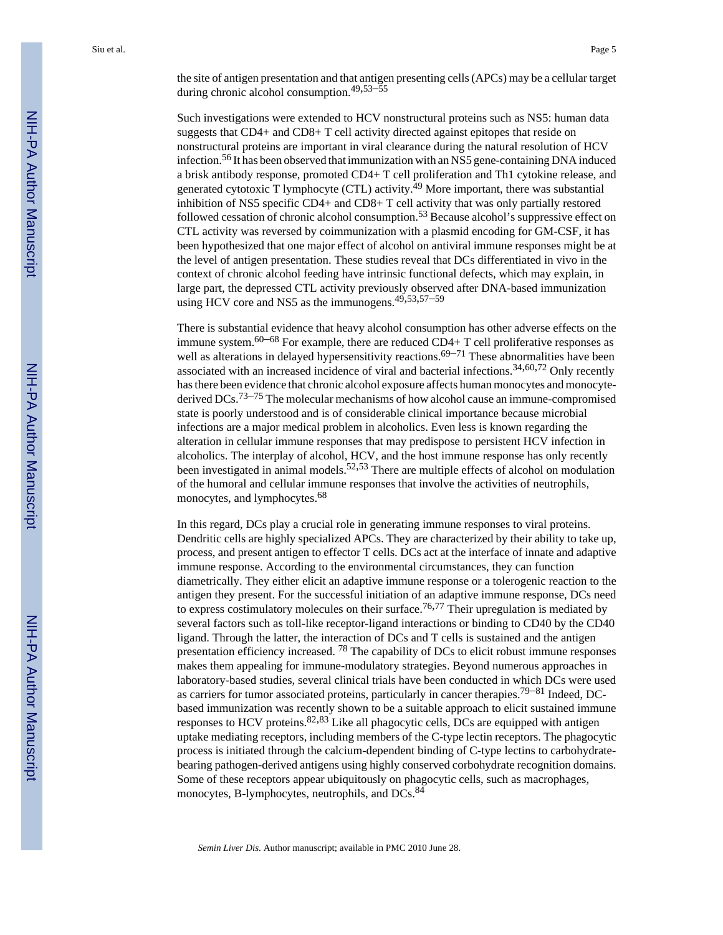the site of antigen presentation and that antigen presenting cells (APCs) may be a cellular target during chronic alcohol consumption.49,53–<sup>55</sup>

Such investigations were extended to HCV nonstructural proteins such as NS5: human data suggests that CD4+ and CD8+ T cell activity directed against epitopes that reside on nonstructural proteins are important in viral clearance during the natural resolution of HCV infection.56 It has been observed that immunization with an NS5 gene-containing DNA induced a brisk antibody response, promoted CD4+ T cell proliferation and Th1 cytokine release, and generated cytotoxic T lymphocyte (CTL) activity.<sup>49</sup> More important, there was substantial inhibition of NS5 specific CD4+ and CD8+ T cell activity that was only partially restored followed cessation of chronic alcohol consumption.<sup>53</sup> Because alcohol's suppressive effect on CTL activity was reversed by coimmunization with a plasmid encoding for GM-CSF, it has been hypothesized that one major effect of alcohol on antiviral immune responses might be at the level of antigen presentation. These studies reveal that DCs differentiated in vivo in the context of chronic alcohol feeding have intrinsic functional defects, which may explain, in large part, the depressed CTL activity previously observed after DNA-based immunization using HCV core and NS5 as the immunogens.<sup>49,53,57–59</sup>

There is substantial evidence that heavy alcohol consumption has other adverse effects on the immune system.<sup>60–68</sup> For example, there are reduced  $CD4+T$  cell proliferative responses as well as alterations in delayed hypersensitivity reactions.<sup>69–71</sup> These abnormalities have been associated with an increased incidence of viral and bacterial infections.34,60,72 Only recently has there been evidence that chronic alcohol exposure affects human monocytes and monocytederived DCs.<sup>73–75</sup> The molecular mechanisms of how alcohol cause an immune-compromised state is poorly understood and is of considerable clinical importance because microbial infections are a major medical problem in alcoholics. Even less is known regarding the alteration in cellular immune responses that may predispose to persistent HCV infection in alcoholics. The interplay of alcohol, HCV, and the host immune response has only recently been investigated in animal models.<sup>52,53</sup> There are multiple effects of alcohol on modulation of the humoral and cellular immune responses that involve the activities of neutrophils, monocytes, and lymphocytes.<sup>68</sup>

In this regard, DCs play a crucial role in generating immune responses to viral proteins. Dendritic cells are highly specialized APCs. They are characterized by their ability to take up, process, and present antigen to effector T cells. DCs act at the interface of innate and adaptive immune response. According to the environmental circumstances, they can function diametrically. They either elicit an adaptive immune response or a tolerogenic reaction to the antigen they present. For the successful initiation of an adaptive immune response, DCs need to express costimulatory molecules on their surface.<sup>76,77</sup> Their upregulation is mediated by several factors such as toll-like receptor-ligand interactions or binding to CD40 by the CD40 ligand. Through the latter, the interaction of DCs and T cells is sustained and the antigen presentation efficiency increased. 78 The capability of DCs to elicit robust immune responses makes them appealing for immune-modulatory strategies. Beyond numerous approaches in laboratory-based studies, several clinical trials have been conducted in which DCs were used as carriers for tumor associated proteins, particularly in cancer therapies.79–81 Indeed, DCbased immunization was recently shown to be a suitable approach to elicit sustained immune responses to HCV proteins.  $82,83$  Like all phagocytic cells, DCs are equipped with antigen uptake mediating receptors, including members of the C-type lectin receptors. The phagocytic process is initiated through the calcium-dependent binding of C-type lectins to carbohydratebearing pathogen-derived antigens using highly conserved corbohydrate recognition domains. Some of these receptors appear ubiquitously on phagocytic cells, such as macrophages, monocytes, B-lymphocytes, neutrophils, and DCs.<sup>84</sup>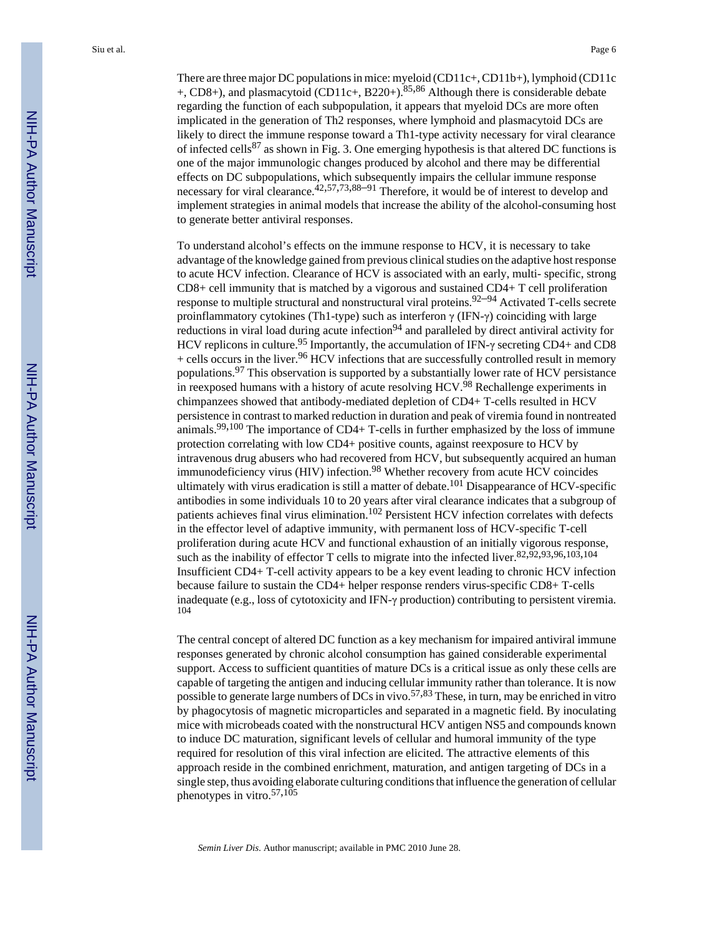There are three major DC populations in mice: myeloid (CD11c+, CD11b+), lymphoid (CD11c  $+$ , CD8+), and plasmacytoid (CD11c+, B220+).<sup>85,86</sup> Although there is considerable debate regarding the function of each subpopulation, it appears that myeloid DCs are more often implicated in the generation of Th2 responses, where lymphoid and plasmacytoid DCs are likely to direct the immune response toward a Th1-type activity necessary for viral clearance of infected cells<sup>87</sup> as shown in Fig. 3. One emerging hypothesis is that altered DC functions is one of the major immunologic changes produced by alcohol and there may be differential effects on DC subpopulations, which subsequently impairs the cellular immune response necessary for viral clearance.<sup>42,57,73,88–91</sup> Therefore, it would be of interest to develop and implement strategies in animal models that increase the ability of the alcohol-consuming host to generate better antiviral responses.

To understand alcohol's effects on the immune response to HCV, it is necessary to take advantage of the knowledge gained from previous clinical studies on the adaptive host response to acute HCV infection. Clearance of HCV is associated with an early, multi- specific, strong CD8+ cell immunity that is matched by a vigorous and sustained CD4+ T cell proliferation response to multiple structural and nonstructural viral proteins.92–94 Activated T-cells secrete proinflammatory cytokines (Th1-type) such as interferon γ (IFN-γ) coinciding with large reductions in viral load during acute infection<sup>94</sup> and paralleled by direct antiviral activity for HCV replicons in culture.<sup>95</sup> Importantly, the accumulation of IFN- $\gamma$  secreting CD4+ and CD8  $+$  cells occurs in the liver.<sup>96</sup> HCV infections that are successfully controlled result in memory populations.  $97$  This observation is supported by a substantially lower rate of HCV persistance in reexposed humans with a history of acute resolving HCV.<sup>98</sup> Rechallenge experiments in chimpanzees showed that antibody-mediated depletion of CD4+ T-cells resulted in HCV persistence in contrast to marked reduction in duration and peak of viremia found in nontreated animals.99,100 The importance of CD4+ T-cells in further emphasized by the loss of immune protection correlating with low CD4+ positive counts, against reexposure to HCV by intravenous drug abusers who had recovered from HCV, but subsequently acquired an human immunodeficiency virus (HIV) infection.<sup>98</sup> Whether recovery from acute HCV coincides ultimately with virus eradication is still a matter of debate.<sup>101</sup> Disappearance of HCV-specific antibodies in some individuals 10 to 20 years after viral clearance indicates that a subgroup of patients achieves final virus elimination.<sup>102</sup> Persistent HCV infection correlates with defects in the effector level of adaptive immunity, with permanent loss of HCV-specific T-cell proliferation during acute HCV and functional exhaustion of an initially vigorous response, such as the inability of effector T cells to migrate into the infected liver. $82,92,93,96,103,104$ Insufficient CD4+ T-cell activity appears to be a key event leading to chronic HCV infection because failure to sustain the CD4+ helper response renders virus-specific CD8+ T-cells inadequate (e.g., loss of cytotoxicity and IFN-γ production) contributing to persistent viremia. 104

The central concept of altered DC function as a key mechanism for impaired antiviral immune responses generated by chronic alcohol consumption has gained considerable experimental support. Access to sufficient quantities of mature DCs is a critical issue as only these cells are capable of targeting the antigen and inducing cellular immunity rather than tolerance. It is now possible to generate large numbers of DCs in vivo.<sup>57,83</sup> These, in turn, may be enriched in vitro by phagocytosis of magnetic microparticles and separated in a magnetic field. By inoculating mice with microbeads coated with the nonstructural HCV antigen NS5 and compounds known to induce DC maturation, significant levels of cellular and humoral immunity of the type required for resolution of this viral infection are elicited. The attractive elements of this approach reside in the combined enrichment, maturation, and antigen targeting of DCs in a single step, thus avoiding elaborate culturing conditions that influence the generation of cellular phenotypes in vitro.57,<sup>105</sup>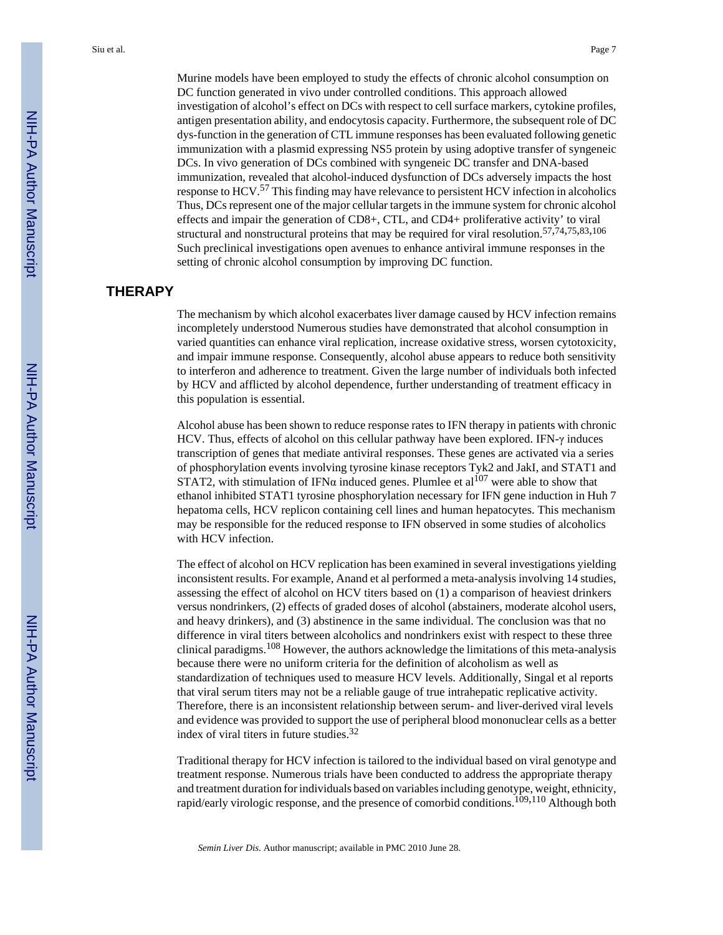Murine models have been employed to study the effects of chronic alcohol consumption on DC function generated in vivo under controlled conditions. This approach allowed investigation of alcohol's effect on DCs with respect to cell surface markers, cytokine profiles, antigen presentation ability, and endocytosis capacity. Furthermore, the subsequent role of DC dys-function in the generation of CTL immune responses has been evaluated following genetic immunization with a plasmid expressing NS5 protein by using adoptive transfer of syngeneic DCs. In vivo generation of DCs combined with syngeneic DC transfer and DNA-based immunization, revealed that alcohol-induced dysfunction of DCs adversely impacts the host response to HCV.57 This finding may have relevance to persistent HCV infection in alcoholics Thus, DCs represent one of the major cellular targets in the immune system for chronic alcohol effects and impair the generation of CD8+, CTL, and CD4+ proliferative activity' to viral structural and nonstructural proteins that may be required for viral resolution.57,74,75,83,<sup>106</sup> Such preclinical investigations open avenues to enhance antiviral immune responses in the setting of chronic alcohol consumption by improving DC function.

# **THERAPY**

The mechanism by which alcohol exacerbates liver damage caused by HCV infection remains incompletely understood Numerous studies have demonstrated that alcohol consumption in varied quantities can enhance viral replication, increase oxidative stress, worsen cytotoxicity, and impair immune response. Consequently, alcohol abuse appears to reduce both sensitivity to interferon and adherence to treatment. Given the large number of individuals both infected by HCV and afflicted by alcohol dependence, further understanding of treatment efficacy in this population is essential.

Alcohol abuse has been shown to reduce response rates to IFN therapy in patients with chronic HCV. Thus, effects of alcohol on this cellular pathway have been explored. IFN-γ induces transcription of genes that mediate antiviral responses. These genes are activated via a series of phosphorylation events involving tyrosine kinase receptors Tyk2 and JakI, and STAT1 and STAT2, with stimulation of IFN $\alpha$  induced genes. Plumlee et al<sup>107</sup> were able to show that ethanol inhibited STAT1 tyrosine phosphorylation necessary for IFN gene induction in Huh 7 hepatoma cells, HCV replicon containing cell lines and human hepatocytes. This mechanism may be responsible for the reduced response to IFN observed in some studies of alcoholics with HCV infection.

The effect of alcohol on HCV replication has been examined in several investigations yielding inconsistent results. For example, Anand et al performed a meta-analysis involving 14 studies, assessing the effect of alcohol on HCV titers based on (1) a comparison of heaviest drinkers versus nondrinkers, (2) effects of graded doses of alcohol (abstainers, moderate alcohol users, and heavy drinkers), and (3) abstinence in the same individual. The conclusion was that no difference in viral titers between alcoholics and nondrinkers exist with respect to these three clinical paradigms.108 However, the authors acknowledge the limitations of this meta-analysis because there were no uniform criteria for the definition of alcoholism as well as standardization of techniques used to measure HCV levels. Additionally, Singal et al reports that viral serum titers may not be a reliable gauge of true intrahepatic replicative activity. Therefore, there is an inconsistent relationship between serum- and liver-derived viral levels and evidence was provided to support the use of peripheral blood mononuclear cells as a better index of viral titers in future studies.<sup>32</sup>

Traditional therapy for HCV infection is tailored to the individual based on viral genotype and treatment response. Numerous trials have been conducted to address the appropriate therapy and treatment duration for individuals based on variables including genotype, weight, ethnicity, rapid/early virologic response, and the presence of comorbid conditions.<sup>109,110</sup> Although both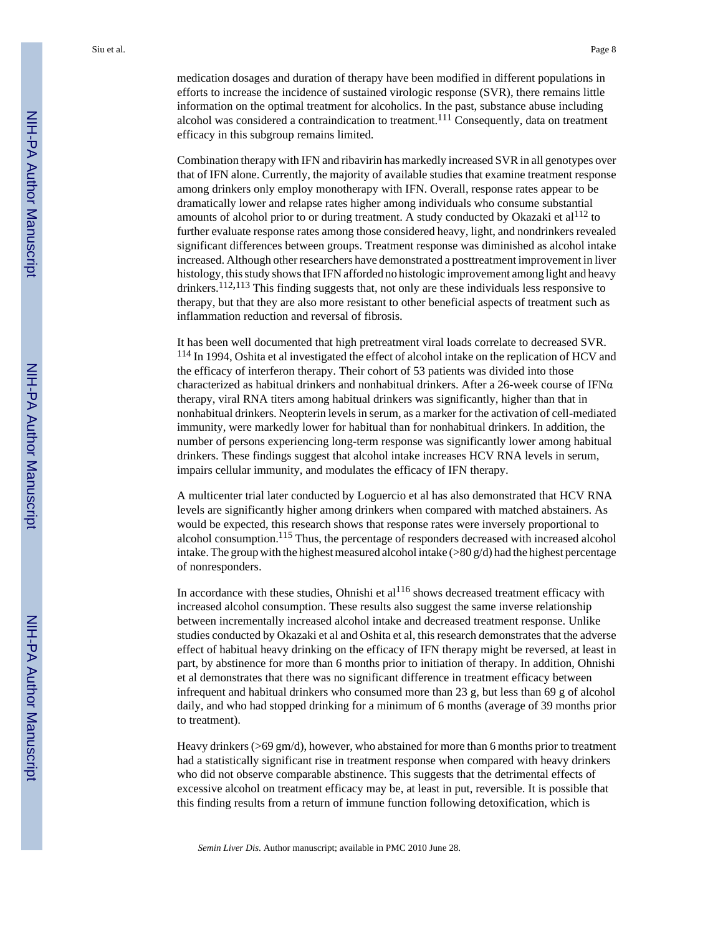medication dosages and duration of therapy have been modified in different populations in efforts to increase the incidence of sustained virologic response (SVR), there remains little information on the optimal treatment for alcoholics. In the past, substance abuse including alcohol was considered a contraindication to treatment.<sup>111</sup> Consequently, data on treatment efficacy in this subgroup remains limited.

Combination therapy with IFN and ribavirin has markedly increased SVR in all genotypes over that of IFN alone. Currently, the majority of available studies that examine treatment response among drinkers only employ monotherapy with IFN. Overall, response rates appear to be dramatically lower and relapse rates higher among individuals who consume substantial amounts of alcohol prior to or during treatment. A study conducted by Okazaki et  $al^{112}$  to further evaluate response rates among those considered heavy, light, and nondrinkers revealed significant differences between groups. Treatment response was diminished as alcohol intake increased. Although other researchers have demonstrated a posttreatment improvement in liver histology, this study shows that IFN afforded no histologic improvement among light and heavy drinkers.<sup>112,113</sup> This finding suggests that, not only are these individuals less responsive to therapy, but that they are also more resistant to other beneficial aspects of treatment such as inflammation reduction and reversal of fibrosis.

It has been well documented that high pretreatment viral loads correlate to decreased SVR. <sup>114</sup> In 1994, Oshita et al investigated the effect of alcohol intake on the replication of HCV and the efficacy of interferon therapy. Their cohort of 53 patients was divided into those characterized as habitual drinkers and nonhabitual drinkers. After a 26-week course of IFN $\alpha$ therapy, viral RNA titers among habitual drinkers was significantly, higher than that in nonhabitual drinkers. Neopterin levels in serum, as a marker for the activation of cell-mediated immunity, were markedly lower for habitual than for nonhabitual drinkers. In addition, the number of persons experiencing long-term response was significantly lower among habitual drinkers. These findings suggest that alcohol intake increases HCV RNA levels in serum, impairs cellular immunity, and modulates the efficacy of IFN therapy.

A multicenter trial later conducted by Loguercio et al has also demonstrated that HCV RNA levels are significantly higher among drinkers when compared with matched abstainers. As would be expected, this research shows that response rates were inversely proportional to alcohol consumption.<sup>115</sup> Thus, the percentage of responders decreased with increased alcohol intake. The group with the highest measured alcohol intake ( $>80 g/d$ ) had the highest percentage of nonresponders.

In accordance with these studies, Ohnishi et  $al<sup>116</sup>$  shows decreased treatment efficacy with increased alcohol consumption. These results also suggest the same inverse relationship between incrementally increased alcohol intake and decreased treatment response. Unlike studies conducted by Okazaki et al and Oshita et al, this research demonstrates that the adverse effect of habitual heavy drinking on the efficacy of IFN therapy might be reversed, at least in part, by abstinence for more than 6 months prior to initiation of therapy. In addition, Ohnishi et al demonstrates that there was no significant difference in treatment efficacy between infrequent and habitual drinkers who consumed more than 23 g, but less than 69 g of alcohol daily, and who had stopped drinking for a minimum of 6 months (average of 39 months prior to treatment).

Heavy drinkers (>69 gm/d), however, who abstained for more than 6 months prior to treatment had a statistically significant rise in treatment response when compared with heavy drinkers who did not observe comparable abstinence. This suggests that the detrimental effects of excessive alcohol on treatment efficacy may be, at least in put, reversible. It is possible that this finding results from a return of immune function following detoxification, which is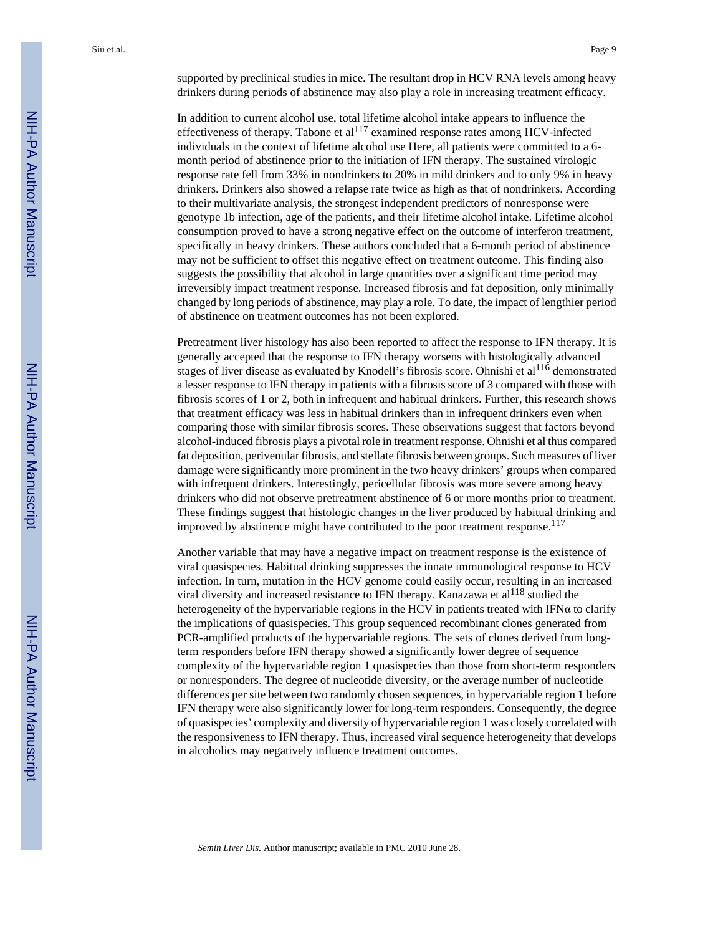supported by preclinical studies in mice. The resultant drop in HCV RNA levels among heavy drinkers during periods of abstinence may also play a role in increasing treatment efficacy.

In addition to current alcohol use, total lifetime alcohol intake appears to influence the effectiveness of therapy. Tabone et al<sup>117</sup> examined response rates among HCV-infected individuals in the context of lifetime alcohol use Here, all patients were committed to a 6 month period of abstinence prior to the initiation of IFN therapy. The sustained virologic response rate fell from 33% in nondrinkers to 20% in mild drinkers and to only 9% in heavy drinkers. Drinkers also showed a relapse rate twice as high as that of nondrinkers. According to their multivariate analysis, the strongest independent predictors of nonresponse were genotype 1b infection, age of the patients, and their lifetime alcohol intake. Lifetime alcohol consumption proved to have a strong negative effect on the outcome of interferon treatment, specifically in heavy drinkers. These authors concluded that a 6-month period of abstinence may not be sufficient to offset this negative effect on treatment outcome. This finding also suggests the possibility that alcohol in large quantities over a significant time period may irreversibly impact treatment response. Increased fibrosis and fat deposition, only minimally changed by long periods of abstinence, may play a role. To date, the impact of lengthier period of abstinence on treatment outcomes has not been explored.

Pretreatment liver histology has also been reported to affect the response to IFN therapy. It is generally accepted that the response to IFN therapy worsens with histologically advanced stages of liver disease as evaluated by Knodell's fibrosis score. Ohnishi et al<sup>116</sup> demonstrated a lesser response to IFN therapy in patients with a fibrosis score of 3 compared with those with fibrosis scores of 1 or 2, both in infrequent and habitual drinkers. Further, this research shows that treatment efficacy was less in habitual drinkers than in infrequent drinkers even when comparing those with similar fibrosis scores. These observations suggest that factors beyond alcohol-induced fibrosis plays a pivotal role in treatment response. Ohnishi et al thus compared fat deposition, perivenular fibrosis, and stellate fibrosis between groups. Such measures of liver damage were significantly more prominent in the two heavy drinkers' groups when compared with infrequent drinkers. Interestingly, pericellular fibrosis was more severe among heavy drinkers who did not observe pretreatment abstinence of 6 or more months prior to treatment. These findings suggest that histologic changes in the liver produced by habitual drinking and improved by abstinence might have contributed to the poor treatment response.<sup>117</sup>

Another variable that may have a negative impact on treatment response is the existence of viral quasispecies. Habitual drinking suppresses the innate immunological response to HCV infection. In turn, mutation in the HCV genome could easily occur, resulting in an increased viral diversity and increased resistance to IFN therapy. Kanazawa et al<sup>118</sup> studied the heterogeneity of the hypervariable regions in the HCV in patients treated with IFN $\alpha$  to clarify the implications of quasispecies. This group sequenced recombinant clones generated from PCR-amplified products of the hypervariable regions. The sets of clones derived from longterm responders before IFN therapy showed a significantly lower degree of sequence complexity of the hypervariable region 1 quasispecies than those from short-term responders or nonresponders. The degree of nucleotide diversity, or the average number of nucleotide differences per site between two randomly chosen sequences, in hypervariable region 1 before IFN therapy were also significantly lower for long-term responders. Consequently, the degree of quasispecies' complexity and diversity of hypervariable region 1 was closely correlated with the responsiveness to IFN therapy. Thus, increased viral sequence heterogeneity that develops in alcoholics may negatively influence treatment outcomes.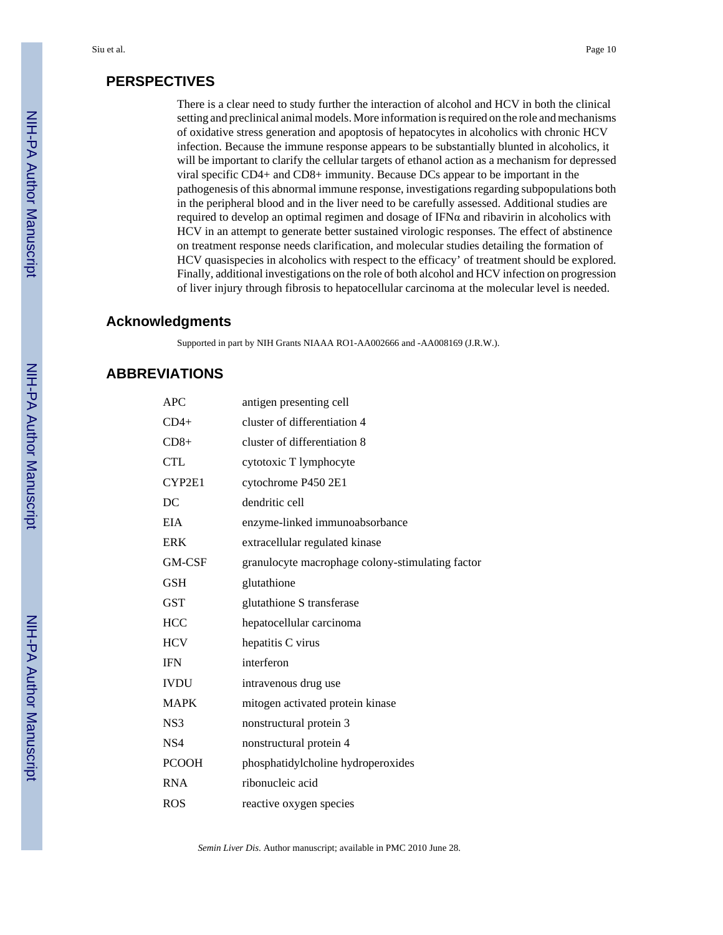### **PERSPECTIVES**

There is a clear need to study further the interaction of alcohol and HCV in both the clinical setting and preclinical animal models. More information is required on the role and mechanisms of oxidative stress generation and apoptosis of hepatocytes in alcoholics with chronic HCV infection. Because the immune response appears to be substantially blunted in alcoholics, it will be important to clarify the cellular targets of ethanol action as a mechanism for depressed viral specific CD4+ and CD8+ immunity. Because DCs appear to be important in the pathogenesis of this abnormal immune response, investigations regarding subpopulations both in the peripheral blood and in the liver need to be carefully assessed. Additional studies are required to develop an optimal regimen and dosage of IFN $\alpha$  and ribavirin in alcoholics with HCV in an attempt to generate better sustained virologic responses. The effect of abstinence on treatment response needs clarification, and molecular studies detailing the formation of HCV quasispecies in alcoholics with respect to the efficacy' of treatment should be explored. Finally, additional investigations on the role of both alcohol and HCV infection on progression of liver injury through fibrosis to hepatocellular carcinoma at the molecular level is needed.

#### **Acknowledgments**

Supported in part by NIH Grants NIAAA RO1-AA002666 and -AA008169 (J.R.W.).

# **ABBREVIATIONS**

| <b>APC</b>      | antigen presenting cell                          |
|-----------------|--------------------------------------------------|
| $CD4+$          | cluster of differentiation 4                     |
| $CD8+$          | cluster of differentiation 8                     |
| <b>CTL</b>      | cytotoxic T lymphocyte                           |
| CYP2E1          | cytochrome P450 2E1                              |
| DC              | dendritic cell                                   |
| EIA             | enzyme-linked immunoabsorbance                   |
| <b>ERK</b>      | extracellular regulated kinase                   |
| <b>GM-CSF</b>   | granulocyte macrophage colony-stimulating factor |
| <b>GSH</b>      | glutathione                                      |
| <b>GST</b>      | glutathione S transferase                        |
| <b>HCC</b>      | hepatocellular carcinoma                         |
| <b>HCV</b>      | hepatitis C virus                                |
| <b>IFN</b>      | interferon                                       |
| <b>IVDU</b>     | intravenous drug use                             |
| <b>MAPK</b>     | mitogen activated protein kinase                 |
| NS3             | nonstructural protein 3                          |
| NS <sub>4</sub> | nonstructural protein 4                          |
| <b>PCOOH</b>    | phosphatidylcholine hydroperoxides               |
| <b>RNA</b>      | ribonucleic acid                                 |
| <b>ROS</b>      | reactive oxygen species                          |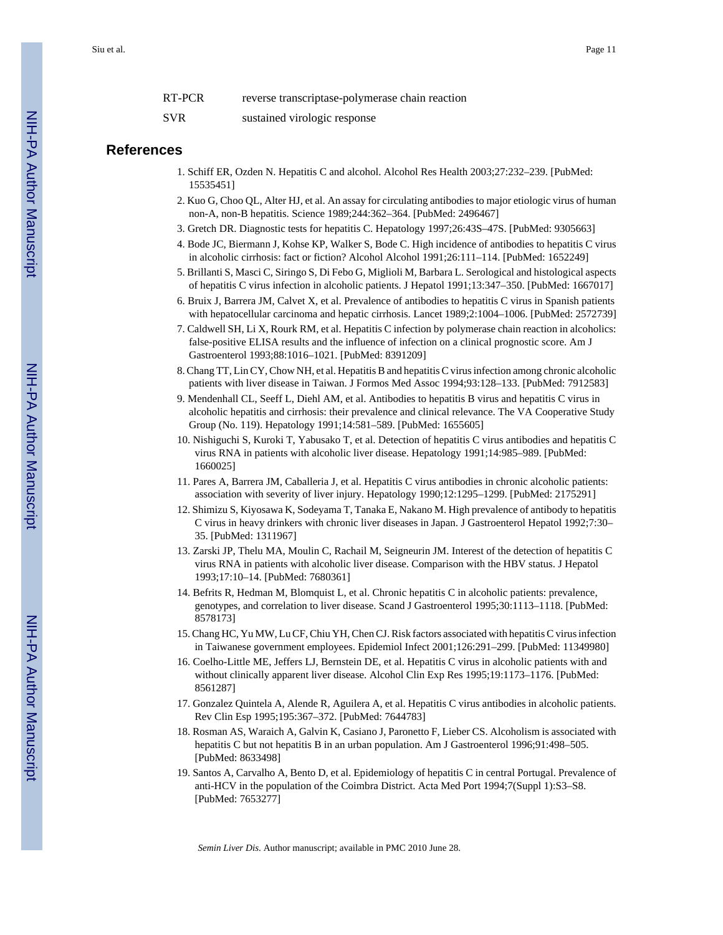RT-PCR reverse transcriptase-polymerase chain reaction

#### SVR sustained virologic response

#### **References**

- 1. Schiff ER, Ozden N. Hepatitis C and alcohol. Alcohol Res Health 2003;27:232–239. [PubMed: 15535451]
- 2. Kuo G, Choo QL, Alter HJ, et al. An assay for circulating antibodies to major etiologic virus of human non-A, non-B hepatitis. Science 1989;244:362–364. [PubMed: 2496467]
- 3. Gretch DR. Diagnostic tests for hepatitis C. Hepatology 1997;26:43S–47S. [PubMed: 9305663]
- 4. Bode JC, Biermann J, Kohse KP, Walker S, Bode C. High incidence of antibodies to hepatitis C virus in alcoholic cirrhosis: fact or fiction? Alcohol Alcohol 1991;26:111–114. [PubMed: 1652249]
- 5. Brillanti S, Masci C, Siringo S, Di Febo G, Miglioli M, Barbara L. Serological and histological aspects of hepatitis C virus infection in alcoholic patients. J Hepatol 1991;13:347–350. [PubMed: 1667017]
- 6. Bruix J, Barrera JM, Calvet X, et al. Prevalence of antibodies to hepatitis C virus in Spanish patients with hepatocellular carcinoma and hepatic cirrhosis. Lancet 1989;2:1004–1006. [PubMed: 2572739]
- 7. Caldwell SH, Li X, Rourk RM, et al. Hepatitis C infection by polymerase chain reaction in alcoholics: false-positive ELISA results and the influence of infection on a clinical prognostic score. Am J Gastroenterol 1993;88:1016–1021. [PubMed: 8391209]
- 8. Chang TT, Lin CY, Chow NH, et al. Hepatitis B and hepatitis C virus infection among chronic alcoholic patients with liver disease in Taiwan. J Formos Med Assoc 1994;93:128–133. [PubMed: 7912583]
- 9. Mendenhall CL, Seeff L, Diehl AM, et al. Antibodies to hepatitis B virus and hepatitis C virus in alcoholic hepatitis and cirrhosis: their prevalence and clinical relevance. The VA Cooperative Study Group (No. 119). Hepatology 1991;14:581–589. [PubMed: 1655605]
- 10. Nishiguchi S, Kuroki T, Yabusako T, et al. Detection of hepatitis C virus antibodies and hepatitis C virus RNA in patients with alcoholic liver disease. Hepatology 1991;14:985–989. [PubMed: 1660025]
- 11. Pares A, Barrera JM, Caballeria J, et al. Hepatitis C virus antibodies in chronic alcoholic patients: association with severity of liver injury. Hepatology 1990;12:1295–1299. [PubMed: 2175291]
- 12. Shimizu S, Kiyosawa K, Sodeyama T, Tanaka E, Nakano M. High prevalence of antibody to hepatitis C virus in heavy drinkers with chronic liver diseases in Japan. J Gastroenterol Hepatol 1992;7:30– 35. [PubMed: 1311967]
- 13. Zarski JP, Thelu MA, Moulin C, Rachail M, Seigneurin JM. Interest of the detection of hepatitis C virus RNA in patients with alcoholic liver disease. Comparison with the HBV status. J Hepatol 1993;17:10–14. [PubMed: 7680361]
- 14. Befrits R, Hedman M, Blomquist L, et al. Chronic hepatitis C in alcoholic patients: prevalence, genotypes, and correlation to liver disease. Scand J Gastroenterol 1995;30:1113–1118. [PubMed: 8578173]
- 15. Chang HC, Yu MW, Lu CF, Chiu YH, Chen CJ. Risk factors associated with hepatitis C virus infection in Taiwanese government employees. Epidemiol Infect 2001;126:291–299. [PubMed: 11349980]
- 16. Coelho-Little ME, Jeffers LJ, Bernstein DE, et al. Hepatitis C virus in alcoholic patients with and without clinically apparent liver disease. Alcohol Clin Exp Res 1995;19:1173–1176. [PubMed: 8561287]
- 17. Gonzalez Quintela A, Alende R, Aguilera A, et al. Hepatitis C virus antibodies in alcoholic patients. Rev Clin Esp 1995;195:367–372. [PubMed: 7644783]
- 18. Rosman AS, Waraich A, Galvin K, Casiano J, Paronetto F, Lieber CS. Alcoholism is associated with hepatitis C but not hepatitis B in an urban population. Am J Gastroenterol 1996;91:498–505. [PubMed: 8633498]
- 19. Santos A, Carvalho A, Bento D, et al. Epidemiology of hepatitis C in central Portugal. Prevalence of anti-HCV in the population of the Coimbra District. Acta Med Port 1994;7(Suppl 1):S3–S8. [PubMed: 7653277]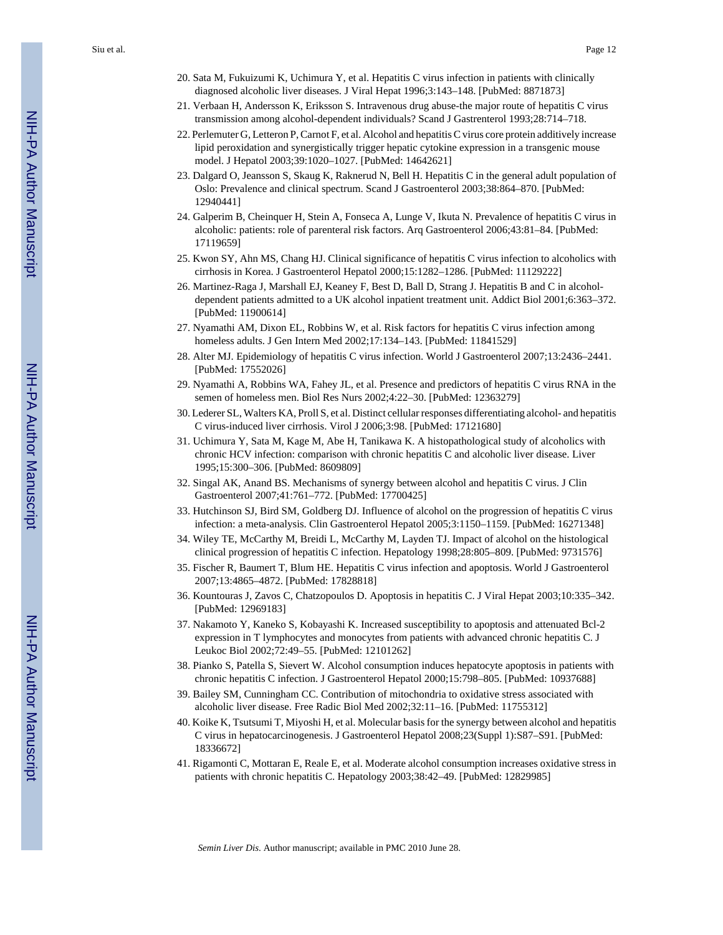- 20. Sata M, Fukuizumi K, Uchimura Y, et al. Hepatitis C virus infection in patients with clinically diagnosed alcoholic liver diseases. J Viral Hepat 1996;3:143–148. [PubMed: 8871873]
- 21. Verbaan H, Andersson K, Eriksson S. Intravenous drug abuse-the major route of hepatitis C virus transmission among alcohol-dependent individuals? Scand J Gastrenterol 1993;28:714–718.
- 22. Perlemuter G, Letteron P, Carnot F, et al. Alcohol and hepatitis C virus core protein additively increase lipid peroxidation and synergistically trigger hepatic cytokine expression in a transgenic mouse model. J Hepatol 2003;39:1020–1027. [PubMed: 14642621]
- 23. Dalgard O, Jeansson S, Skaug K, Raknerud N, Bell H. Hepatitis C in the general adult population of Oslo: Prevalence and clinical spectrum. Scand J Gastroenterol 2003;38:864–870. [PubMed: 12940441]
- 24. Galperim B, Cheinquer H, Stein A, Fonseca A, Lunge V, Ikuta N. Prevalence of hepatitis C virus in alcoholic: patients: role of parenteral risk factors. Arq Gastroenterol 2006;43:81–84. [PubMed: 17119659]
- 25. Kwon SY, Ahn MS, Chang HJ. Clinical significance of hepatitis C virus infection to alcoholics with cirrhosis in Korea. J Gastroenterol Hepatol 2000;15:1282–1286. [PubMed: 11129222]
- 26. Martinez-Raga J, Marshall EJ, Keaney F, Best D, Ball D, Strang J. Hepatitis B and C in alcoholdependent patients admitted to a UK alcohol inpatient treatment unit. Addict Biol 2001;6:363–372. [PubMed: 11900614]
- 27. Nyamathi AM, Dixon EL, Robbins W, et al. Risk factors for hepatitis C virus infection among homeless adults. J Gen Intern Med 2002;17:134–143. [PubMed: 11841529]
- 28. Alter MJ. Epidemiology of hepatitis C virus infection. World J Gastroenterol 2007;13:2436–2441. [PubMed: 17552026]
- 29. Nyamathi A, Robbins WA, Fahey JL, et al. Presence and predictors of hepatitis C virus RNA in the semen of homeless men. Biol Res Nurs 2002;4:22–30. [PubMed: 12363279]
- 30. Lederer SL, Walters KA, Proll S, et al. Distinct cellular responses differentiating alcohol- and hepatitis C virus-induced liver cirrhosis. Virol J 2006;3:98. [PubMed: 17121680]
- 31. Uchimura Y, Sata M, Kage M, Abe H, Tanikawa K. A histopathological study of alcoholics with chronic HCV infection: comparison with chronic hepatitis C and alcoholic liver disease. Liver 1995;15:300–306. [PubMed: 8609809]
- 32. Singal AK, Anand BS. Mechanisms of synergy between alcohol and hepatitis C virus. J Clin Gastroenterol 2007;41:761–772. [PubMed: 17700425]
- 33. Hutchinson SJ, Bird SM, Goldberg DJ. Influence of alcohol on the progression of hepatitis C virus infection: a meta-analysis. Clin Gastroenterol Hepatol 2005;3:1150–1159. [PubMed: 16271348]
- 34. Wiley TE, McCarthy M, Breidi L, McCarthy M, Layden TJ. Impact of alcohol on the histological clinical progression of hepatitis C infection. Hepatology 1998;28:805–809. [PubMed: 9731576]
- 35. Fischer R, Baumert T, Blum HE. Hepatitis C virus infection and apoptosis. World J Gastroenterol 2007;13:4865–4872. [PubMed: 17828818]
- 36. Kountouras J, Zavos C, Chatzopoulos D. Apoptosis in hepatitis C. J Viral Hepat 2003;10:335–342. [PubMed: 12969183]
- 37. Nakamoto Y, Kaneko S, Kobayashi K. Increased susceptibility to apoptosis and attenuated Bcl-2 expression in T lymphocytes and monocytes from patients with advanced chronic hepatitis C. J Leukoc Biol 2002;72:49–55. [PubMed: 12101262]
- 38. Pianko S, Patella S, Sievert W. Alcohol consumption induces hepatocyte apoptosis in patients with chronic hepatitis C infection. J Gastroenterol Hepatol 2000;15:798–805. [PubMed: 10937688]
- 39. Bailey SM, Cunningham CC. Contribution of mitochondria to oxidative stress associated with alcoholic liver disease. Free Radic Biol Med 2002;32:11–16. [PubMed: 11755312]
- 40. Koike K, Tsutsumi T, Miyoshi H, et al. Molecular basis for the synergy between alcohol and hepatitis C virus in hepatocarcinogenesis. J Gastroenterol Hepatol 2008;23(Suppl 1):S87–S91. [PubMed: 18336672]
- 41. Rigamonti C, Mottaran E, Reale E, et al. Moderate alcohol consumption increases oxidative stress in patients with chronic hepatitis C. Hepatology 2003;38:42–49. [PubMed: 12829985]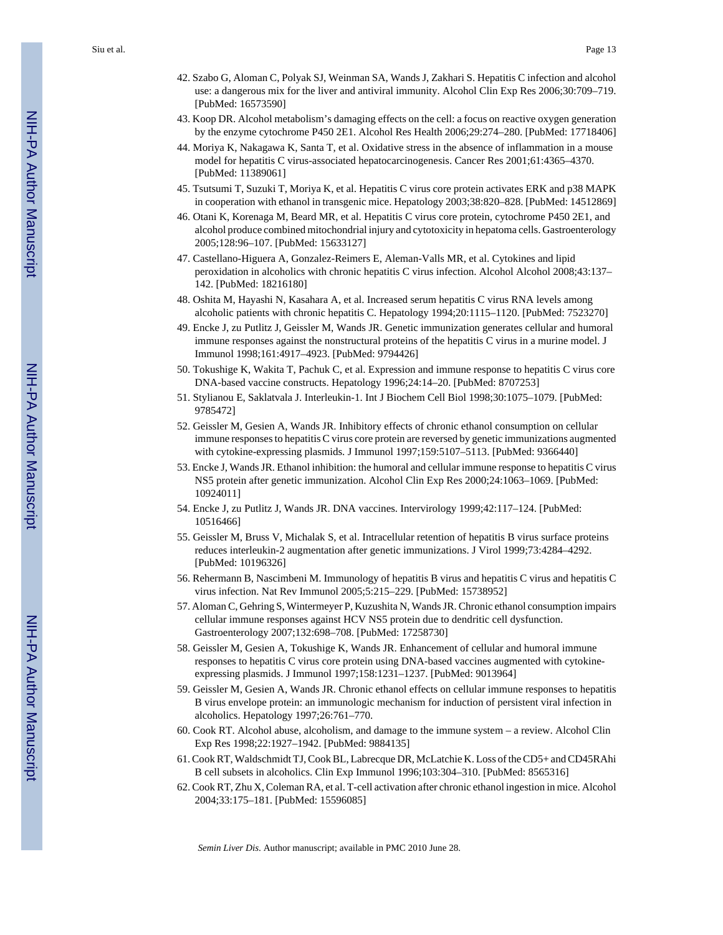- 42. Szabo G, Aloman C, Polyak SJ, Weinman SA, Wands J, Zakhari S. Hepatitis C infection and alcohol use: a dangerous mix for the liver and antiviral immunity. Alcohol Clin Exp Res 2006;30:709–719. [PubMed: 16573590]
- 43. Koop DR. Alcohol metabolism's damaging effects on the cell: a focus on reactive oxygen generation by the enzyme cytochrome P450 2E1. Alcohol Res Health 2006;29:274–280. [PubMed: 17718406]
- 44. Moriya K, Nakagawa K, Santa T, et al. Oxidative stress in the absence of inflammation in a mouse model for hepatitis C virus-associated hepatocarcinogenesis. Cancer Res 2001;61:4365–4370. [PubMed: 11389061]
- 45. Tsutsumi T, Suzuki T, Moriya K, et al. Hepatitis C virus core protein activates ERK and p38 MAPK in cooperation with ethanol in transgenic mice. Hepatology 2003;38:820–828. [PubMed: 14512869]
- 46. Otani K, Korenaga M, Beard MR, et al. Hepatitis C virus core protein, cytochrome P450 2E1, and alcohol produce combined mitochondrial injury and cytotoxicity in hepatoma cells. Gastroenterology 2005;128:96–107. [PubMed: 15633127]
- 47. Castellano-Higuera A, Gonzalez-Reimers E, Aleman-Valls MR, et al. Cytokines and lipid peroxidation in alcoholics with chronic hepatitis C virus infection. Alcohol Alcohol 2008;43:137– 142. [PubMed: 18216180]
- 48. Oshita M, Hayashi N, Kasahara A, et al. Increased serum hepatitis C virus RNA levels among alcoholic patients with chronic hepatitis C. Hepatology 1994;20:1115–1120. [PubMed: 7523270]
- 49. Encke J, zu Putlitz J, Geissler M, Wands JR. Genetic immunization generates cellular and humoral immune responses against the nonstructural proteins of the hepatitis C virus in a murine model. J Immunol 1998;161:4917–4923. [PubMed: 9794426]
- 50. Tokushige K, Wakita T, Pachuk C, et al. Expression and immune response to hepatitis C virus core DNA-based vaccine constructs. Hepatology 1996;24:14–20. [PubMed: 8707253]
- 51. Stylianou E, Saklatvala J. Interleukin-1. Int J Biochem Cell Biol 1998;30:1075–1079. [PubMed: 9785472]
- 52. Geissler M, Gesien A, Wands JR. Inhibitory effects of chronic ethanol consumption on cellular immune responses to hepatitis C virus core protein are reversed by genetic immunizations augmented with cytokine-expressing plasmids. J Immunol 1997;159:5107–5113. [PubMed: 9366440]
- 53. Encke J, Wands JR. Ethanol inhibition: the humoral and cellular immune response to hepatitis C virus NS5 protein after genetic immunization. Alcohol Clin Exp Res 2000;24:1063–1069. [PubMed: 10924011]
- 54. Encke J, zu Putlitz J, Wands JR. DNA vaccines. Intervirology 1999;42:117–124. [PubMed: 10516466]
- 55. Geissler M, Bruss V, Michalak S, et al. Intracellular retention of hepatitis B virus surface proteins reduces interleukin-2 augmentation after genetic immunizations. J Virol 1999;73:4284–4292. [PubMed: 10196326]
- 56. Rehermann B, Nascimbeni M. Immunology of hepatitis B virus and hepatitis C virus and hepatitis C virus infection. Nat Rev Immunol 2005;5:215–229. [PubMed: 15738952]
- 57. Aloman C, Gehring S, Wintermeyer P, Kuzushita N, Wands JR. Chronic ethanol consumption impairs cellular immune responses against HCV NS5 protein due to dendritic cell dysfunction. Gastroenterology 2007;132:698–708. [PubMed: 17258730]
- 58. Geissler M, Gesien A, Tokushige K, Wands JR. Enhancement of cellular and humoral immune responses to hepatitis C virus core protein using DNA-based vaccines augmented with cytokineexpressing plasmids. J Immunol 1997;158:1231–1237. [PubMed: 9013964]
- 59. Geissler M, Gesien A, Wands JR. Chronic ethanol effects on cellular immune responses to hepatitis B virus envelope protein: an immunologic mechanism for induction of persistent viral infection in alcoholics. Hepatology 1997;26:761–770.
- 60. Cook RT. Alcohol abuse, alcoholism, and damage to the immune system a review. Alcohol Clin Exp Res 1998;22:1927–1942. [PubMed: 9884135]
- 61. Cook RT, Waldschmidt TJ, Cook BL, Labrecque DR, McLatchie K. Loss of the CD5+ and CD45RAhi B cell subsets in alcoholics. Clin Exp Immunol 1996;103:304–310. [PubMed: 8565316]
- 62. Cook RT, Zhu X, Coleman RA, et al. T-cell activation after chronic ethanol ingestion in mice. Alcohol 2004;33:175–181. [PubMed: 15596085]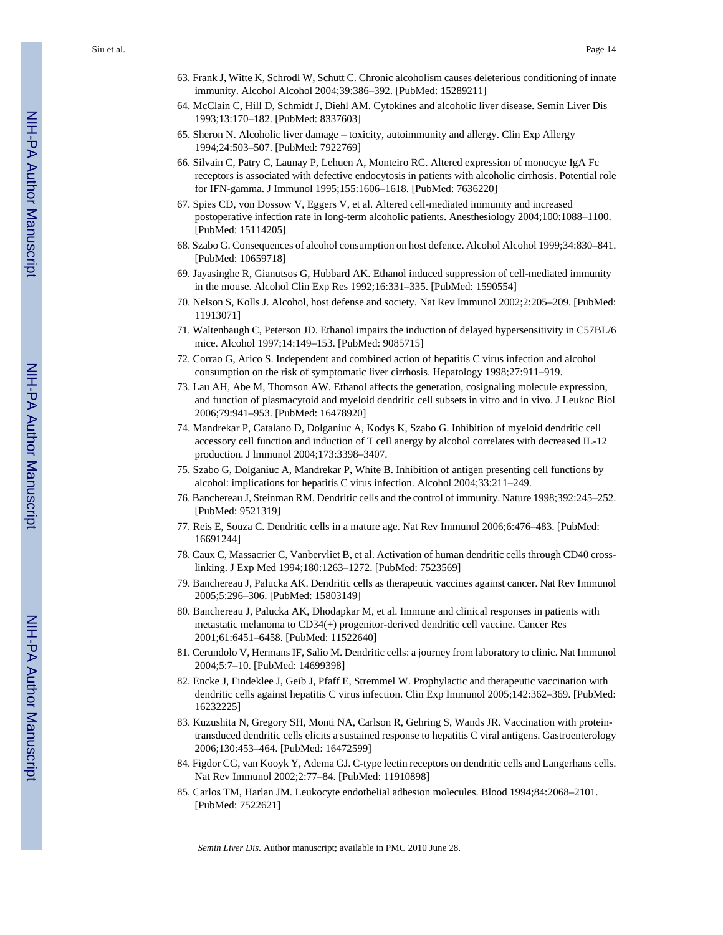- 63. Frank J, Witte K, Schrodl W, Schutt C. Chronic alcoholism causes deleterious conditioning of innate immunity. Alcohol Alcohol 2004;39:386–392. [PubMed: 15289211]
- 64. McClain C, Hill D, Schmidt J, Diehl AM. Cytokines and alcoholic liver disease. Semin Liver Dis 1993;13:170–182. [PubMed: 8337603]
- 65. Sheron N. Alcoholic liver damage toxicity, autoimmunity and allergy. Clin Exp Allergy 1994;24:503–507. [PubMed: 7922769]
- 66. Silvain C, Patry C, Launay P, Lehuen A, Monteiro RC. Altered expression of monocyte IgA Fc receptors is associated with defective endocytosis in patients with alcoholic cirrhosis. Potential role for IFN-gamma. J Immunol 1995;155:1606–1618. [PubMed: 7636220]
- 67. Spies CD, von Dossow V, Eggers V, et al. Altered cell-mediated immunity and increased postoperative infection rate in long-term alcoholic patients. Anesthesiology 2004;100:1088–1100. [PubMed: 15114205]
- 68. Szabo G. Consequences of alcohol consumption on host defence. Alcohol Alcohol 1999;34:830–841. [PubMed: 10659718]
- 69. Jayasinghe R, Gianutsos G, Hubbard AK. Ethanol induced suppression of cell-mediated immunity in the mouse. Alcohol Clin Exp Res 1992;16:331–335. [PubMed: 1590554]
- 70. Nelson S, Kolls J. Alcohol, host defense and society. Nat Rev Immunol 2002;2:205–209. [PubMed: 11913071]
- 71. Waltenbaugh C, Peterson JD. Ethanol impairs the induction of delayed hypersensitivity in C57BL/6 mice. Alcohol 1997;14:149–153. [PubMed: 9085715]
- 72. Corrao G, Arico S. Independent and combined action of hepatitis C virus infection and alcohol consumption on the risk of symptomatic liver cirrhosis. Hepatology 1998;27:911–919.
- 73. Lau AH, Abe M, Thomson AW. Ethanol affects the generation, cosignaling molecule expression, and function of plasmacytoid and myeloid dendritic cell subsets in vitro and in vivo. J Leukoc Biol 2006;79:941–953. [PubMed: 16478920]
- 74. Mandrekar P, Catalano D, Dolganiuc A, Kodys K, Szabo G. Inhibition of myeloid dendritic cell accessory cell function and induction of T cell anergy by alcohol correlates with decreased IL-12 production. J lmmunol 2004;173:3398–3407.
- 75. Szabo G, Dolganiuc A, Mandrekar P, White B. Inhibition of antigen presenting cell functions by alcohol: implications for hepatitis C virus infection. Alcohol 2004;33:211–249.
- 76. Banchereau J, Steinman RM. Dendritic cells and the control of immunity. Nature 1998;392:245–252. [PubMed: 9521319]
- 77. Reis E, Souza C. Dendritic cells in a mature age. Nat Rev Immunol 2006;6:476–483. [PubMed: 16691244]
- 78. Caux C, Massacrier C, Vanbervliet B, et al. Activation of human dendritic cells through CD40 crosslinking. J Exp Med 1994;180:1263–1272. [PubMed: 7523569]
- 79. Banchereau J, Palucka AK. Dendritic cells as therapeutic vaccines against cancer. Nat Rev Immunol 2005;5:296–306. [PubMed: 15803149]
- 80. Banchereau J, Palucka AK, Dhodapkar M, et al. Immune and clinical responses in patients with metastatic melanoma to CD34(+) progenitor-derived dendritic cell vaccine. Cancer Res 2001;61:6451–6458. [PubMed: 11522640]
- 81. Cerundolo V, Hermans IF, Salio M. Dendritic cells: a journey from laboratory to clinic. Nat Immunol 2004;5:7–10. [PubMed: 14699398]
- 82. Encke J, Findeklee J, Geib J, Pfaff E, Stremmel W. Prophylactic and therapeutic vaccination with dendritic cells against hepatitis C virus infection. Clin Exp Immunol 2005;142:362–369. [PubMed: 16232225]
- 83. Kuzushita N, Gregory SH, Monti NA, Carlson R, Gehring S, Wands JR. Vaccination with proteintransduced dendritic cells elicits a sustained response to hepatitis C viral antigens. Gastroenterology 2006;130:453–464. [PubMed: 16472599]
- 84. Figdor CG, van Kooyk Y, Adema GJ. C-type lectin receptors on dendritic cells and Langerhans cells. Nat Rev Immunol 2002;2:77–84. [PubMed: 11910898]
- 85. Carlos TM, Harlan JM. Leukocyte endothelial adhesion molecules. Blood 1994;84:2068–2101. [PubMed: 7522621]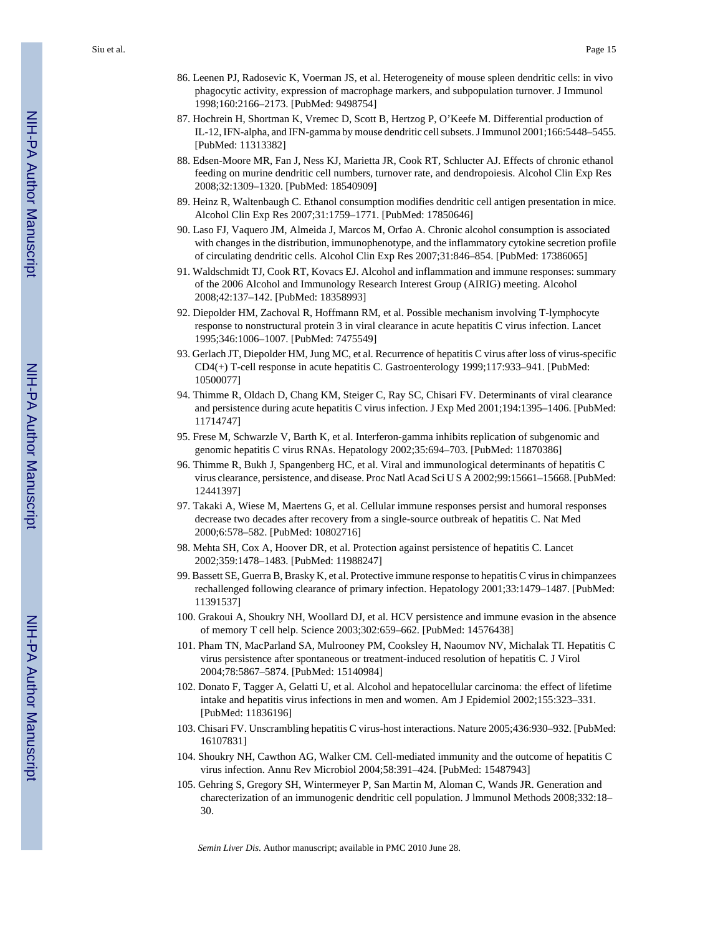Siu et al. Page 15

- 86. Leenen PJ, Radosevic K, Voerman JS, et al. Heterogeneity of mouse spleen dendritic cells: in vivo phagocytic activity, expression of macrophage markers, and subpopulation turnover. J Immunol 1998;160:2166–2173. [PubMed: 9498754]
- 87. Hochrein H, Shortman K, Vremec D, Scott B, Hertzog P, O'Keefe M. Differential production of IL-12, IFN-alpha, and IFN-gamma by mouse dendritic cell subsets. J Immunol 2001;166:5448–5455. [PubMed: 11313382]
- 88. Edsen-Moore MR, Fan J, Ness KJ, Marietta JR, Cook RT, Schlucter AJ. Effects of chronic ethanol feeding on murine dendritic cell numbers, turnover rate, and dendropoiesis. Alcohol Clin Exp Res 2008;32:1309–1320. [PubMed: 18540909]
- 89. Heinz R, Waltenbaugh C. Ethanol consumption modifies dendritic cell antigen presentation in mice. Alcohol Clin Exp Res 2007;31:1759–1771. [PubMed: 17850646]
- 90. Laso FJ, Vaquero JM, Almeida J, Marcos M, Orfao A. Chronic alcohol consumption is associated with changes in the distribution, immunophenotype, and the inflammatory cytokine secretion profile of circulating dendritic cells. Alcohol Clin Exp Res 2007;31:846–854. [PubMed: 17386065]
- 91. Waldschmidt TJ, Cook RT, Kovacs EJ. Alcohol and inflammation and immune responses: summary of the 2006 Alcohol and Immunology Research Interest Group (AIRIG) meeting. Alcohol 2008;42:137–142. [PubMed: 18358993]
- 92. Diepolder HM, Zachoval R, Hoffmann RM, et al. Possible mechanism involving T-lymphocyte response to nonstructural protein 3 in viral clearance in acute hepatitis C virus infection. Lancet 1995;346:1006–1007. [PubMed: 7475549]
- 93. Gerlach JT, Diepolder HM, Jung MC, et al. Recurrence of hepatitis C virus after loss of virus-specific CD4(+) T-cell response in acute hepatitis C. Gastroenterology 1999;117:933–941. [PubMed: 10500077]
- 94. Thimme R, Oldach D, Chang KM, Steiger C, Ray SC, Chisari FV. Determinants of viral clearance and persistence during acute hepatitis C virus infection. J Exp Med 2001;194:1395–1406. [PubMed: 11714747]
- 95. Frese M, Schwarzle V, Barth K, et al. Interferon-gamma inhibits replication of subgenomic and genomic hepatitis C virus RNAs. Hepatology 2002;35:694–703. [PubMed: 11870386]
- 96. Thimme R, Bukh J, Spangenberg HC, et al. Viral and immunological determinants of hepatitis C virus clearance, persistence, and disease. Proc Natl Acad Sci U S A 2002;99:15661–15668. [PubMed: 12441397]
- 97. Takaki A, Wiese M, Maertens G, et al. Cellular immune responses persist and humoral responses decrease two decades after recovery from a single-source outbreak of hepatitis C. Nat Med 2000;6:578–582. [PubMed: 10802716]
- 98. Mehta SH, Cox A, Hoover DR, et al. Protection against persistence of hepatitis C. Lancet 2002;359:1478–1483. [PubMed: 11988247]
- 99. Bassett SE, Guerra B, Brasky K, et al. Protective immune response to hepatitis C virus in chimpanzees rechallenged following clearance of primary infection. Hepatology 2001;33:1479–1487. [PubMed: 11391537]
- 100. Grakoui A, Shoukry NH, Woollard DJ, et al. HCV persistence and immune evasion in the absence of memory T cell help. Science 2003;302:659–662. [PubMed: 14576438]
- 101. Pham TN, MacParland SA, Mulrooney PM, Cooksley H, Naoumov NV, Michalak TI. Hepatitis C virus persistence after spontaneous or treatment-induced resolution of hepatitis C. J Virol 2004;78:5867–5874. [PubMed: 15140984]
- 102. Donato F, Tagger A, Gelatti U, et al. Alcohol and hepatocellular carcinoma: the effect of lifetime intake and hepatitis virus infections in men and women. Am J Epidemiol 2002;155:323–331. [PubMed: 11836196]
- 103. Chisari FV. Unscrambling hepatitis C virus-host interactions. Nature 2005;436:930–932. [PubMed: 16107831]
- 104. Shoukry NH, Cawthon AG, Walker CM. Cell-mediated immunity and the outcome of hepatitis C virus infection. Annu Rev Microbiol 2004;58:391–424. [PubMed: 15487943]
- 105. Gehring S, Gregory SH, Wintermeyer P, San Martin M, Aloman C, Wands JR. Generation and charecterization of an immunogenic dendritic cell population. J lmmunol Methods 2008;332:18– 30.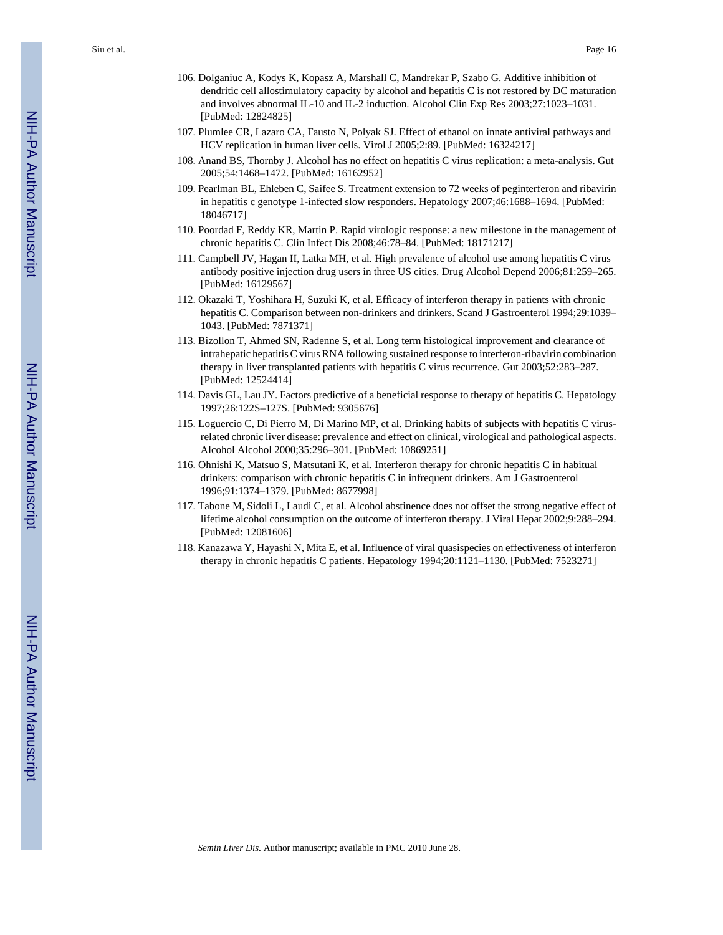- 106. Dolganiuc A, Kodys K, Kopasz A, Marshall C, Mandrekar P, Szabo G. Additive inhibition of dendritic cell allostimulatory capacity by alcohol and hepatitis C is not restored by DC maturation and involves abnormal IL-10 and IL-2 induction. Alcohol Clin Exp Res 2003;27:1023–1031. [PubMed: 12824825]
- 107. Plumlee CR, Lazaro CA, Fausto N, Polyak SJ. Effect of ethanol on innate antiviral pathways and HCV replication in human liver cells. Virol J 2005;2:89. [PubMed: 16324217]
- 108. Anand BS, Thornby J. Alcohol has no effect on hepatitis C virus replication: a meta-analysis. Gut 2005;54:1468–1472. [PubMed: 16162952]
- 109. Pearlman BL, Ehleben C, Saifee S. Treatment extension to 72 weeks of peginterferon and ribavirin in hepatitis c genotype 1-infected slow responders. Hepatology 2007;46:1688–1694. [PubMed: 18046717]
- 110. Poordad F, Reddy KR, Martin P. Rapid virologic response: a new milestone in the management of chronic hepatitis C. Clin Infect Dis 2008;46:78–84. [PubMed: 18171217]
- 111. Campbell JV, Hagan II, Latka MH, et al. High prevalence of alcohol use among hepatitis C virus antibody positive injection drug users in three US cities. Drug Alcohol Depend 2006;81:259–265. [PubMed: 16129567]
- 112. Okazaki T, Yoshihara H, Suzuki K, et al. Efficacy of interferon therapy in patients with chronic hepatitis C. Comparison between non-drinkers and drinkers. Scand J Gastroenterol 1994;29:1039– 1043. [PubMed: 7871371]
- 113. Bizollon T, Ahmed SN, Radenne S, et al. Long term histological improvement and clearance of intrahepatic hepatitis C virus RNA following sustained response to interferon-ribavirin combination therapy in liver transplanted patients with hepatitis C virus recurrence. Gut 2003;52:283–287. [PubMed: 12524414]
- 114. Davis GL, Lau JY. Factors predictive of a beneficial response to therapy of hepatitis C. Hepatology 1997;26:122S–127S. [PubMed: 9305676]
- 115. Loguercio C, Di Pierro M, Di Marino MP, et al. Drinking habits of subjects with hepatitis C virusrelated chronic liver disease: prevalence and effect on clinical, virological and pathological aspects. Alcohol Alcohol 2000;35:296–301. [PubMed: 10869251]
- 116. Ohnishi K, Matsuo S, Matsutani K, et al. Interferon therapy for chronic hepatitis C in habitual drinkers: comparison with chronic hepatitis C in infrequent drinkers. Am J Gastroenterol 1996;91:1374–1379. [PubMed: 8677998]
- 117. Tabone M, Sidoli L, Laudi C, et al. Alcohol abstinence does not offset the strong negative effect of lifetime alcohol consumption on the outcome of interferon therapy. J Viral Hepat 2002;9:288–294. [PubMed: 12081606]
- 118. Kanazawa Y, Hayashi N, Mita E, et al. Influence of viral quasispecies on effectiveness of interferon therapy in chronic hepatitis C patients. Hepatology 1994;20:1121–1130. [PubMed: 7523271]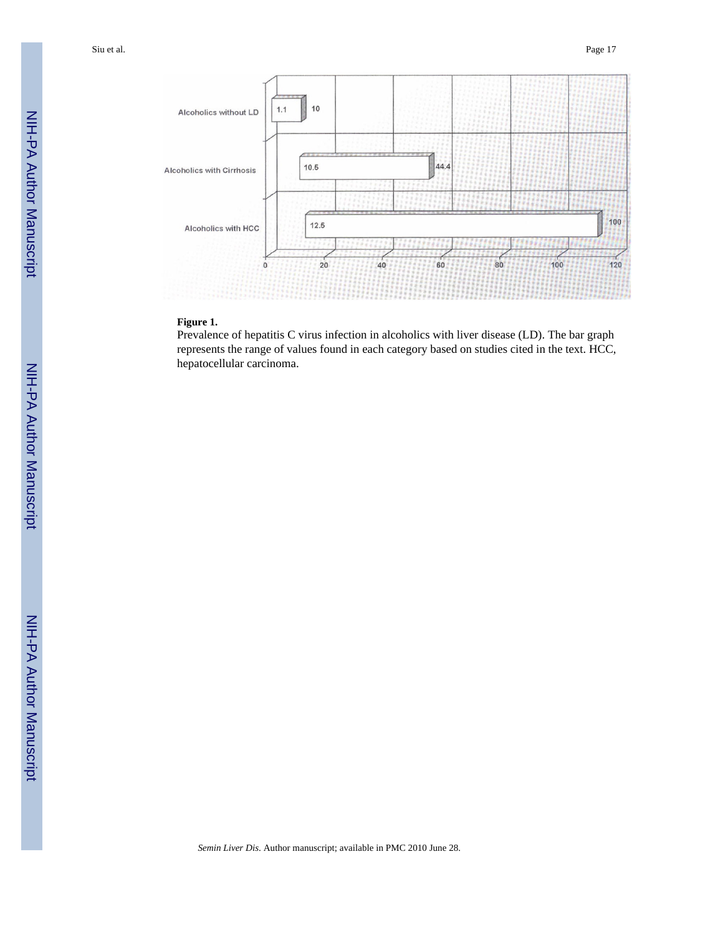Siu et al. Page 17



#### **Figure 1.**

Prevalence of hepatitis C virus infection in alcoholics with liver disease (LD). The bar graph represents the range of values found in each category based on studies cited in the text. HCC, hepatocellular carcinoma.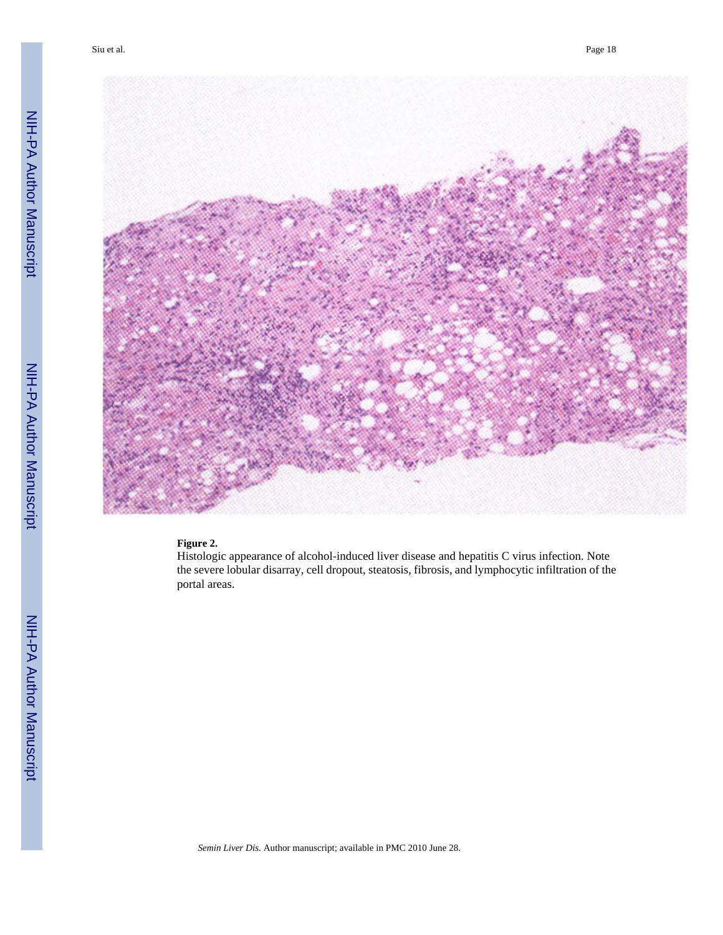

#### **Figure 2.**

Histologic appearance of alcohol-induced liver disease and hepatitis C virus infection. Note the severe lobular disarray, cell dropout, steatosis, fibrosis, and lymphocytic infiltration of the portal areas.